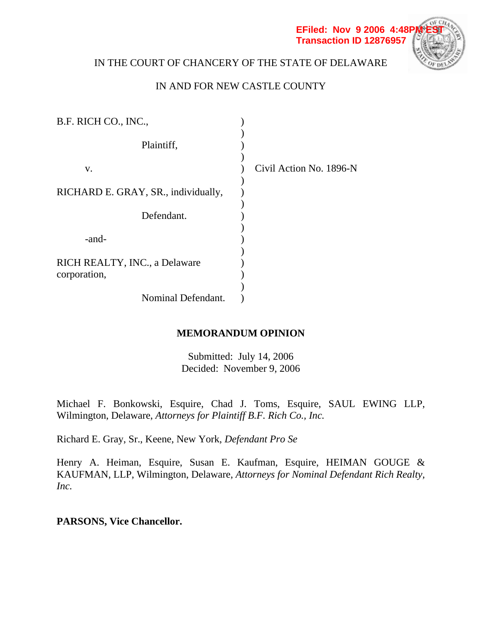

# IN THE COURT OF CHANCERY OF THE STATE OF DELAWARE

# IN AND FOR NEW CASTLE COUNTY

| B.F. RICH CO., INC.,                |                         |
|-------------------------------------|-------------------------|
| Plaintiff,                          |                         |
| V.                                  | Civil Action No. 1896-N |
| RICHARD E. GRAY, SR., individually, |                         |
| Defendant.                          |                         |
| -and-                               |                         |
| RICH REALTY, INC., a Delaware       |                         |
| corporation,                        |                         |
| Nominal Defendant.                  |                         |

# **MEMORANDUM OPINION**

Submitted: July 14, 2006 Decided: November 9, 2006

Michael F. Bonkowski, Esquire, Chad J. Toms, Esquire, SAUL EWING LLP, Wilmington, Delaware, *Attorneys for Plaintiff B.F. Rich Co., Inc.* 

Richard E. Gray, Sr., Keene, New York, *Defendant Pro Se*

Henry A. Heiman, Esquire, Susan E. Kaufman, Esquire, HEIMAN GOUGE & KAUFMAN, LLP, Wilmington, Delaware, *Attorneys for Nominal Defendant Rich Realty, Inc.*

# **PARSONS, Vice Chancellor.**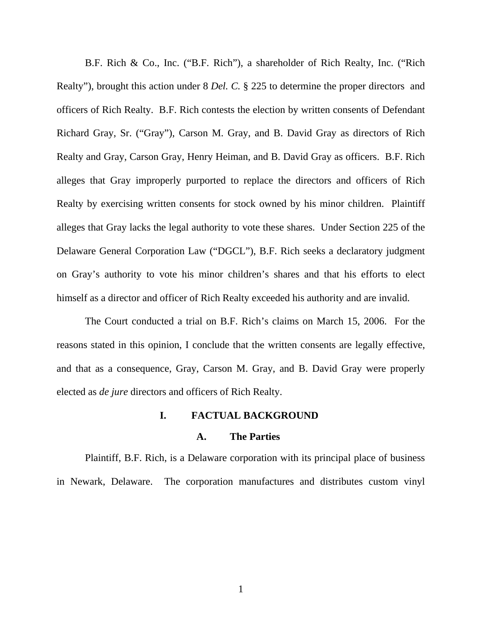B.F. Rich & Co., Inc. ("B.F. Rich"), a shareholder of Rich Realty, Inc. ("Rich Realty"), brought this action under 8 *Del. C.* § 225 to determine the proper directors and officers of Rich Realty. B.F. Rich contests the election by written consents of Defendant Richard Gray, Sr. ("Gray"), Carson M. Gray, and B. David Gray as directors of Rich Realty and Gray, Carson Gray, Henry Heiman, and B. David Gray as officers. B.F. Rich alleges that Gray improperly purported to replace the directors and officers of Rich Realty by exercising written consents for stock owned by his minor children. Plaintiff alleges that Gray lacks the legal authority to vote these shares. Under Section 225 of the Delaware General Corporation Law ("DGCL"), B.F. Rich seeks a declaratory judgment on Gray's authority to vote his minor children's shares and that his efforts to elect himself as a director and officer of Rich Realty exceeded his authority and are invalid.

The Court conducted a trial on B.F. Rich's claims on March 15, 2006. For the reasons stated in this opinion, I conclude that the written consents are legally effective, and that as a consequence, Gray, Carson M. Gray, and B. David Gray were properly elected as *de jure* directors and officers of Rich Realty.

### **I. FACTUAL BACKGROUND**

#### **A. The Parties**

Plaintiff, B.F. Rich, is a Delaware corporation with its principal place of business in Newark, Delaware. The corporation manufactures and distributes custom vinyl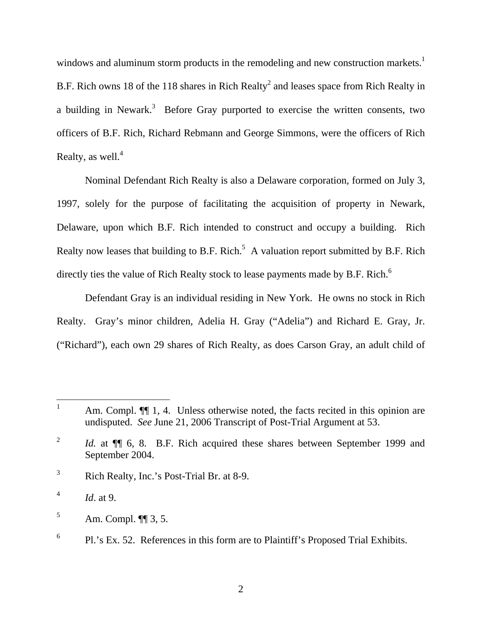windows and aluminum storm products in the remodeling and new construction markets.<sup>1</sup> B.F. Rich owns 18 of the 118 shares in Rich Realty<sup>2</sup> and leases space from Rich Realty in a building in Newark.<sup>3</sup> Before Gray purported to exercise the written consents, two officers of B.F. Rich, Richard Rebmann and George Simmons, were the officers of Rich Realty, as well. $4$ 

Nominal Defendant Rich Realty is also a Delaware corporation, formed on July 3, 1997, solely for the purpose of facilitating the acquisition of property in Newark, Delaware, upon which B.F. Rich intended to construct and occupy a building. Rich Realty now leases that building to B.F. Rich.<sup>5</sup> A valuation report submitted by B.F. Rich directly ties the value of Rich Realty stock to lease payments made by B.F. Rich.<sup>6</sup>

Defendant Gray is an individual residing in New York. He owns no stock in Rich Realty. Gray's minor children, Adelia H. Gray ("Adelia") and Richard E. Gray, Jr. ("Richard"), each own 29 shares of Rich Realty, as does Carson Gray, an adult child of

 $\overline{a}$ 

<sup>1</sup> Am. Compl.  $\P$  1, 4. Unless otherwise noted, the facts recited in this opinion are undisputed. *See* June 21, 2006 Transcript of Post-Trial Argument at 53.

<sup>2</sup> *Id.* at  $\P$  6, 8. B.F. Rich acquired these shares between September 1999 and September 2004.

<sup>3</sup> Rich Realty, Inc.'s Post-Trial Br. at 8-9.

<sup>4</sup> *Id*. at 9.

<sup>5</sup> Am. Compl. ¶¶ 3, 5.

<sup>6</sup> Pl.'s Ex. 52. References in this form are to Plaintiff's Proposed Trial Exhibits.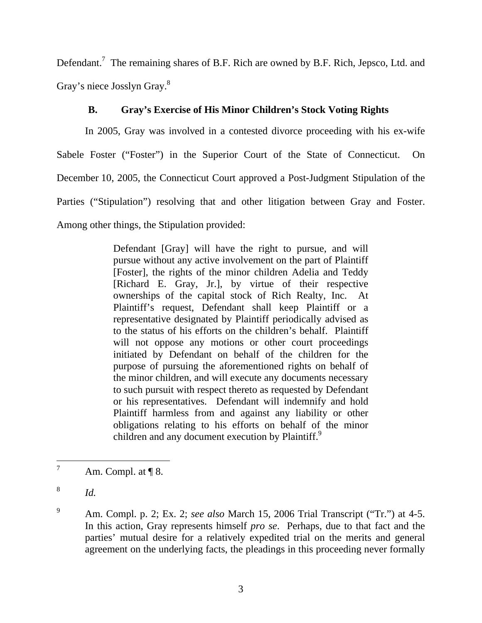Defendant.<sup>7</sup> The remaining shares of B.F. Rich are owned by B.F. Rich, Jepsco, Ltd. and Gray's niece Josslyn Gray.<sup>8</sup>

# **B. Gray's Exercise of His Minor Children's Stock Voting Rights**

In 2005, Gray was involved in a contested divorce proceeding with his ex-wife Sabele Foster ("Foster") in the Superior Court of the State of Connecticut. On December 10, 2005, the Connecticut Court approved a Post-Judgment Stipulation of the Parties ("Stipulation") resolving that and other litigation between Gray and Foster. Among other things, the Stipulation provided:

> Defendant [Gray] will have the right to pursue, and will pursue without any active involvement on the part of Plaintiff [Foster], the rights of the minor children Adelia and Teddy [Richard E. Gray, Jr.], by virtue of their respective ownerships of the capital stock of Rich Realty, Inc. At Plaintiff's request, Defendant shall keep Plaintiff or a representative designated by Plaintiff periodically advised as to the status of his efforts on the children's behalf. Plaintiff will not oppose any motions or other court proceedings initiated by Defendant on behalf of the children for the purpose of pursuing the aforementioned rights on behalf of the minor children, and will execute any documents necessary to such pursuit with respect thereto as requested by Defendant or his representatives. Defendant will indemnify and hold Plaintiff harmless from and against any liability or other obligations relating to his efforts on behalf of the minor children and any document execution by Plaintiff.<sup>9</sup>

8 *Id.*

<sup>7</sup> Am. Compl. at ¶ 8.

<sup>9</sup> Am. Compl. p. 2; Ex. 2; *see also* March 15, 2006 Trial Transcript ("Tr.") at 4-5. In this action, Gray represents himself *pro se*. Perhaps, due to that fact and the parties' mutual desire for a relatively expedited trial on the merits and general agreement on the underlying facts, the pleadings in this proceeding never formally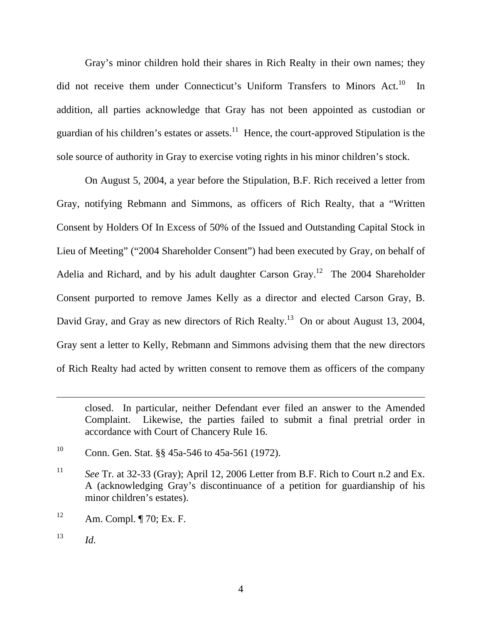Gray's minor children hold their shares in Rich Realty in their own names; they did not receive them under Connecticut's Uniform Transfers to Minors Act.<sup>10</sup> In addition, all parties acknowledge that Gray has not been appointed as custodian or guardian of his children's estates or assets.<sup>11</sup> Hence, the court-approved Stipulation is the sole source of authority in Gray to exercise voting rights in his minor children's stock.

On August 5, 2004, a year before the Stipulation, B.F. Rich received a letter from Gray, notifying Rebmann and Simmons, as officers of Rich Realty, that a "Written Consent by Holders Of In Excess of 50% of the Issued and Outstanding Capital Stock in Lieu of Meeting" ("2004 Shareholder Consent") had been executed by Gray, on behalf of Adelia and Richard, and by his adult daughter Carson Gray.<sup>12</sup> The 2004 Shareholder Consent purported to remove James Kelly as a director and elected Carson Gray, B. David Gray, and Gray as new directors of Rich Realty.<sup>13</sup> On or about August 13, 2004, Gray sent a letter to Kelly, Rebmann and Simmons advising them that the new directors of Rich Realty had acted by written consent to remove them as officers of the company

 $\overline{a}$ 

closed. In particular, neither Defendant ever filed an answer to the Amended Complaint. Likewise, the parties failed to submit a final pretrial order in accordance with Court of Chancery Rule 16.

<sup>&</sup>lt;sup>10</sup> Conn. Gen. Stat.  $\S$ § 45a-546 to 45a-561 (1972).

<sup>11</sup> *See* Tr. at 32-33 (Gray); April 12, 2006 Letter from B.F. Rich to Court n.2 and Ex. A (acknowledging Gray's discontinuance of a petition for guardianship of his minor children's estates).

 $12$  Am. Compl. ¶ 70; Ex. F.

 $13$  *Id.*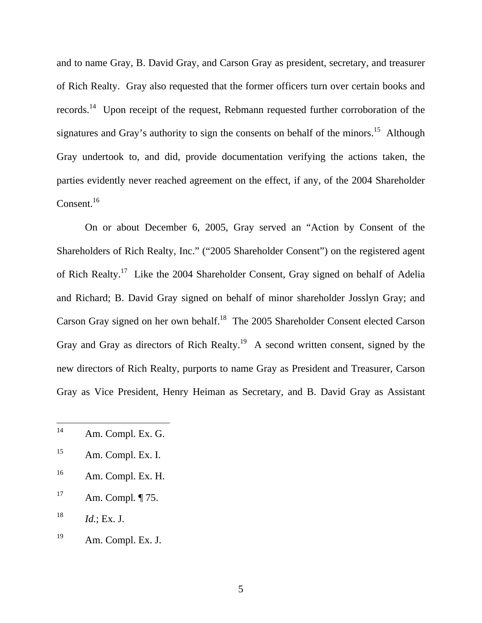and to name Gray, B. David Gray, and Carson Gray as president, secretary, and treasurer of Rich Realty. Gray also requested that the former officers turn over certain books and records.14 Upon receipt of the request, Rebmann requested further corroboration of the signatures and Gray's authority to sign the consents on behalf of the minors.<sup>15</sup> Although Gray undertook to, and did, provide documentation verifying the actions taken, the parties evidently never reached agreement on the effect, if any, of the 2004 Shareholder Consent. $^{16}$ 

On or about December 6, 2005, Gray served an "Action by Consent of the Shareholders of Rich Realty, Inc." ("2005 Shareholder Consent") on the registered agent of Rich Realty.17 Like the 2004 Shareholder Consent, Gray signed on behalf of Adelia and Richard; B. David Gray signed on behalf of minor shareholder Josslyn Gray; and Carson Gray signed on her own behalf.18 The 2005 Shareholder Consent elected Carson Gray and Gray as directors of Rich Realty.<sup>19</sup> A second written consent, signed by the new directors of Rich Realty, purports to name Gray as President and Treasurer, Carson Gray as Vice President, Henry Heiman as Secretary, and B. David Gray as Assistant

- 15 Am. Compl. Ex. I.
- 16 Am. Compl. Ex. H.
- 17 Am. Compl*.* ¶ 75.
- $18$  *Id.*; Ex. J.
- 19 Am. Compl. Ex. J.

<sup>14</sup> Am. Compl. Ex. G.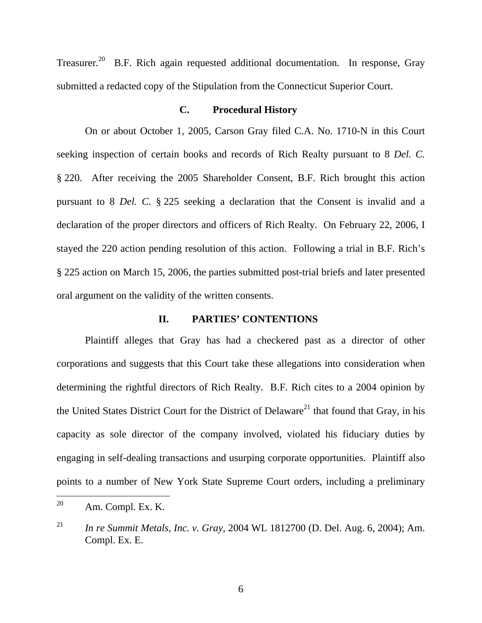Treasurer.<sup>20</sup> B.F. Rich again requested additional documentation. In response, Gray submitted a redacted copy of the Stipulation from the Connecticut Superior Court.

#### **C. Procedural History**

On or about October 1, 2005, Carson Gray filed C.A. No. 1710-N in this Court seeking inspection of certain books and records of Rich Realty pursuant to 8 *Del. C.*  § 220. After receiving the 2005 Shareholder Consent, B.F. Rich brought this action pursuant to 8 *Del. C.* § 225 seeking a declaration that the Consent is invalid and a declaration of the proper directors and officers of Rich Realty. On February 22, 2006, I stayed the 220 action pending resolution of this action. Following a trial in B.F. Rich's § 225 action on March 15, 2006, the parties submitted post-trial briefs and later presented oral argument on the validity of the written consents.

#### **II. PARTIES' CONTENTIONS**

Plaintiff alleges that Gray has had a checkered past as a director of other corporations and suggests that this Court take these allegations into consideration when determining the rightful directors of Rich Realty. B.F. Rich cites to a 2004 opinion by the United States District Court for the District of Delaware<sup>21</sup> that found that Gray, in his capacity as sole director of the company involved, violated his fiduciary duties by engaging in self-dealing transactions and usurping corporate opportunities. Plaintiff also points to a number of New York State Supreme Court orders, including a preliminary

<sup>20</sup> Am. Compl. Ex. K.

<sup>21</sup> *In re Summit Metals, Inc. v. Gray,* 2004 WL 1812700 (D. Del. Aug. 6, 2004); Am. Compl. Ex. E.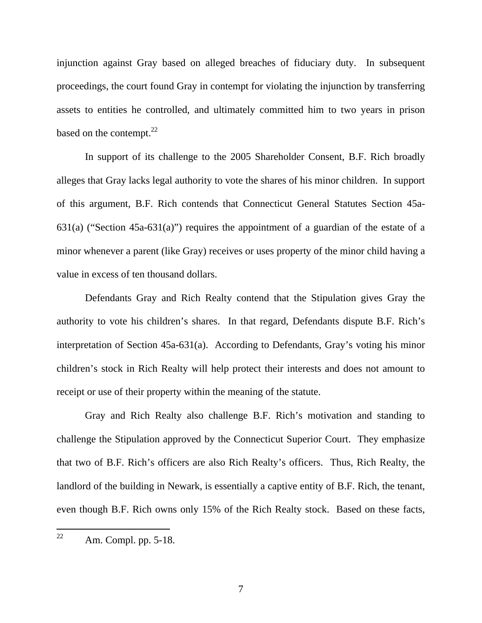injunction against Gray based on alleged breaches of fiduciary duty. In subsequent proceedings, the court found Gray in contempt for violating the injunction by transferring assets to entities he controlled, and ultimately committed him to two years in prison based on the contempt. $22$ 

In support of its challenge to the 2005 Shareholder Consent, B.F. Rich broadly alleges that Gray lacks legal authority to vote the shares of his minor children. In support of this argument, B.F. Rich contends that Connecticut General Statutes Section 45a-631(a) ("Section 45a-631(a)") requires the appointment of a guardian of the estate of a minor whenever a parent (like Gray) receives or uses property of the minor child having a value in excess of ten thousand dollars.

Defendants Gray and Rich Realty contend that the Stipulation gives Gray the authority to vote his children's shares. In that regard, Defendants dispute B.F. Rich's interpretation of Section 45a-631(a). According to Defendants, Gray's voting his minor children's stock in Rich Realty will help protect their interests and does not amount to receipt or use of their property within the meaning of the statute.

Gray and Rich Realty also challenge B.F. Rich's motivation and standing to challenge the Stipulation approved by the Connecticut Superior Court. They emphasize that two of B.F. Rich's officers are also Rich Realty's officers. Thus, Rich Realty, the landlord of the building in Newark, is essentially a captive entity of B.F. Rich, the tenant, even though B.F. Rich owns only 15% of the Rich Realty stock. Based on these facts,

<sup>22</sup> Am. Compl. pp. 5-18.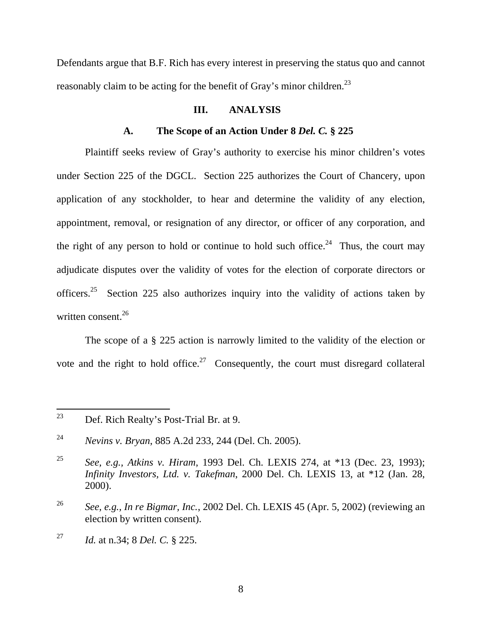Defendants argue that B.F. Rich has every interest in preserving the status quo and cannot reasonably claim to be acting for the benefit of Gray's minor children.<sup>23</sup>

#### **III. ANALYSIS**

#### **A. The Scope of an Action Under 8** *Del. C.* **§ 225**

Plaintiff seeks review of Gray's authority to exercise his minor children's votes under Section 225 of the DGCL. Section 225 authorizes the Court of Chancery, upon application of any stockholder, to hear and determine the validity of any election, appointment, removal, or resignation of any director, or officer of any corporation, and the right of any person to hold or continue to hold such office.<sup>24</sup> Thus, the court may adjudicate disputes over the validity of votes for the election of corporate directors or officers.<sup>25</sup> Section 225 also authorizes inquiry into the validity of actions taken by written consent. $^{26}$ 

The scope of a § 225 action is narrowly limited to the validity of the election or vote and the right to hold office.<sup>27</sup> Consequently, the court must disregard collateral

<sup>23</sup> Def. Rich Realty's Post-Trial Br. at 9.

<sup>24</sup> *Nevins v. Bryan*, 885 A.2d 233, 244 (Del. Ch. 2005).

<sup>25</sup> *See, e.g., Atkins v. Hiram*, 1993 Del. Ch. LEXIS 274, at \*13 (Dec. 23, 1993); *Infinity Investors, Ltd. v. Takefman*, 2000 Del. Ch. LEXIS 13, at \*12 (Jan. 28, 2000).

<sup>26</sup> *See, e.g., In re Bigmar, Inc.*, 2002 Del. Ch. LEXIS 45 (Apr. 5, 2002) (reviewing an election by written consent).

<sup>27</sup> *Id.* at n.34; 8 *Del. C.* § 225.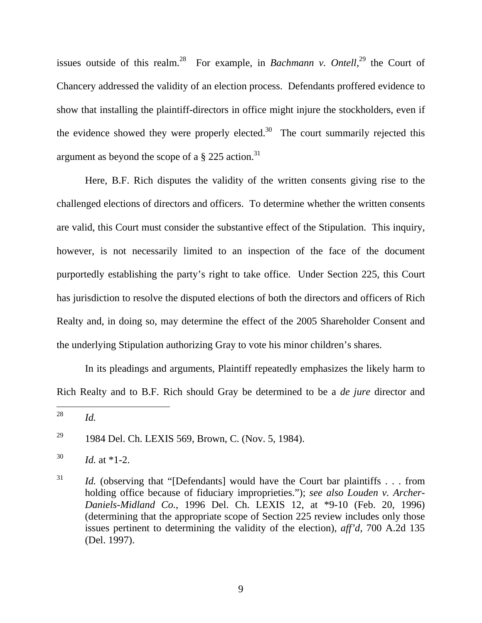issues outside of this realm.<sup>28</sup> For example, in *Bachmann v. Ontell*,<sup>29</sup> the Court of Chancery addressed the validity of an election process. Defendants proffered evidence to show that installing the plaintiff-directors in office might injure the stockholders, even if the evidence showed they were properly elected.<sup>30</sup> The court summarily rejected this argument as beyond the scope of a  $\S 225$  action.<sup>31</sup>

Here, B.F. Rich disputes the validity of the written consents giving rise to the challenged elections of directors and officers. To determine whether the written consents are valid, this Court must consider the substantive effect of the Stipulation. This inquiry, however, is not necessarily limited to an inspection of the face of the document purportedly establishing the party's right to take office. Under Section 225, this Court has jurisdiction to resolve the disputed elections of both the directors and officers of Rich Realty and, in doing so, may determine the effect of the 2005 Shareholder Consent and the underlying Stipulation authorizing Gray to vote his minor children's shares.

In its pleadings and arguments, Plaintiff repeatedly emphasizes the likely harm to Rich Realty and to B.F. Rich should Gray be determined to be a *de jure* director and

<sup>28</sup> *Id.* 

<sup>&</sup>lt;sup>29</sup> 1984 Del. Ch. LEXIS 569, Brown, C. (Nov. 5, 1984).

 $^{30}$  *Id.* at \*1-2.

<sup>&</sup>lt;sup>31</sup> *Id.* (observing that "[Defendants] would have the Court bar plaintiffs . . . from holding office because of fiduciary improprieties."); *see also Louden v. Archer-Daniels-Midland Co.*, 1996 Del. Ch. LEXIS 12, at \*9-10 (Feb. 20, 1996) (determining that the appropriate scope of Section 225 review includes only those issues pertinent to determining the validity of the election), *aff'd,* 700 A.2d 135 (Del. 1997).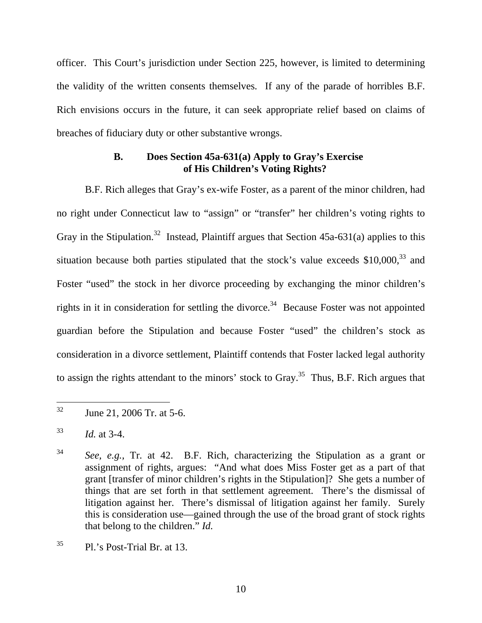officer. This Court's jurisdiction under Section 225, however, is limited to determining the validity of the written consents themselves. If any of the parade of horribles B.F. Rich envisions occurs in the future, it can seek appropriate relief based on claims of breaches of fiduciary duty or other substantive wrongs.

# **B. Does Section 45a-631(a) Apply to Gray's Exercise of His Children's Voting Rights?**

B.F. Rich alleges that Gray's ex-wife Foster, as a parent of the minor children, had no right under Connecticut law to "assign" or "transfer" her children's voting rights to Gray in the Stipulation.<sup>32</sup> Instead, Plaintiff argues that Section  $45a-631(a)$  applies to this situation because both parties stipulated that the stock's value exceeds  $$10,000$ <sup>33</sup> and Foster "used" the stock in her divorce proceeding by exchanging the minor children's rights in it in consideration for settling the divorce.<sup>34</sup> Because Foster was not appointed guardian before the Stipulation and because Foster "used" the children's stock as consideration in a divorce settlement, Plaintiff contends that Foster lacked legal authority to assign the rights attendant to the minors' stock to Gray.<sup>35</sup> Thus, B.F. Rich argues that

<sup>32</sup> June 21, 2006 Tr. at 5-6.

<sup>33</sup> *Id.* at 3-4.

<sup>34</sup> *See, e.g.,* Tr. at 42. B.F. Rich, characterizing the Stipulation as a grant or assignment of rights, argues: "And what does Miss Foster get as a part of that grant [transfer of minor children's rights in the Stipulation]? She gets a number of things that are set forth in that settlement agreement. There's the dismissal of litigation against her. There's dismissal of litigation against her family. Surely this is consideration use—gained through the use of the broad grant of stock rights that belong to the children." *Id.*

 $^{35}$  Pl.'s Post-Trial Br. at 13.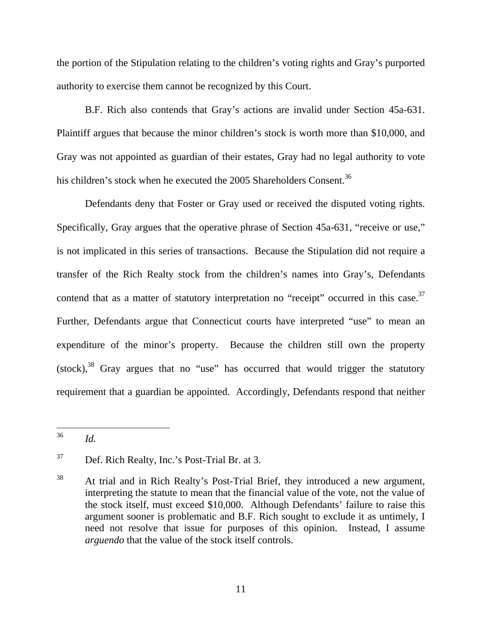the portion of the Stipulation relating to the children's voting rights and Gray's purported authority to exercise them cannot be recognized by this Court.

B.F. Rich also contends that Gray's actions are invalid under Section 45a-631. Plaintiff argues that because the minor children's stock is worth more than \$10,000, and Gray was not appointed as guardian of their estates, Gray had no legal authority to vote his children's stock when he executed the 2005 Shareholders Consent.<sup>36</sup>

Defendants deny that Foster or Gray used or received the disputed voting rights. Specifically, Gray argues that the operative phrase of Section 45a-631, "receive or use," is not implicated in this series of transactions. Because the Stipulation did not require a transfer of the Rich Realty stock from the children's names into Gray's, Defendants contend that as a matter of statutory interpretation no "receipt" occurred in this case.<sup>37</sup> Further, Defendants argue that Connecticut courts have interpreted "use" to mean an expenditure of the minor's property. Because the children still own the property  $(\text{stock})$ , $^{38}$  Gray argues that no "use" has occurred that would trigger the statutory requirement that a guardian be appointed. Accordingly, Defendants respond that neither

<sup>36</sup> 36 *Id.*

<sup>37</sup> Def. Rich Realty, Inc.'s Post-Trial Br. at 3.

<sup>38</sup> At trial and in Rich Realty's Post-Trial Brief, they introduced a new argument, interpreting the statute to mean that the financial value of the vote, not the value of the stock itself, must exceed \$10,000. Although Defendants' failure to raise this argument sooner is problematic and B.F. Rich sought to exclude it as untimely, I need not resolve that issue for purposes of this opinion. Instead, I assume *arguendo* that the value of the stock itself controls.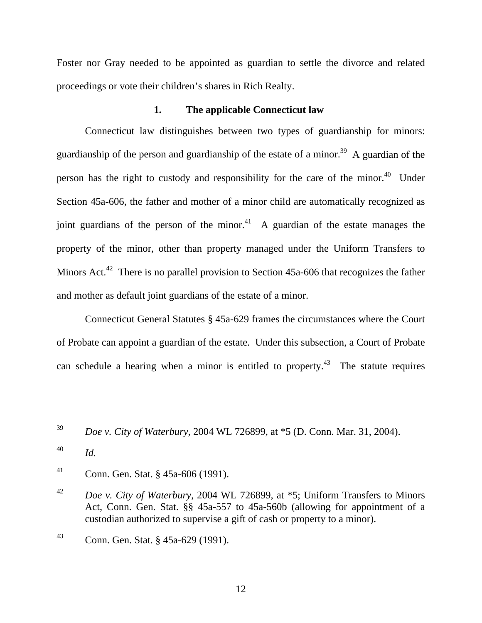Foster nor Gray needed to be appointed as guardian to settle the divorce and related proceedings or vote their children's shares in Rich Realty.

### **1. The applicable Connecticut law**

Connecticut law distinguishes between two types of guardianship for minors: guardianship of the person and guardianship of the estate of a minor.<sup>39</sup> A guardian of the person has the right to custody and responsibility for the care of the minor.<sup>40</sup> Under Section 45a-606, the father and mother of a minor child are automatically recognized as joint guardians of the person of the minor.<sup>41</sup> A guardian of the estate manages the property of the minor, other than property managed under the Uniform Transfers to Minors Act.<sup>42</sup> There is no parallel provision to Section  $45a-606$  that recognizes the father and mother as default joint guardians of the estate of a minor.

Connecticut General Statutes § 45a-629 frames the circumstances where the Court of Probate can appoint a guardian of the estate. Under this subsection, a Court of Probate can schedule a hearing when a minor is entitled to property.<sup>43</sup> The statute requires

39 39 *Doe v. City of Waterbury*, 2004 WL 726899, at \*5 (D. Conn. Mar. 31, 2004).

40 *Id.*

41 Conn. Gen. Stat. § 45a-606 (1991).

<sup>42</sup> *Doe v. City of Waterbury*, 2004 WL 726899, at \*5; Uniform Transfers to Minors Act, Conn. Gen. Stat. §§ 45a-557 to 45a-560b (allowing for appointment of a custodian authorized to supervise a gift of cash or property to a minor).

<sup>43</sup> Conn. Gen. Stat. § 45a-629 (1991).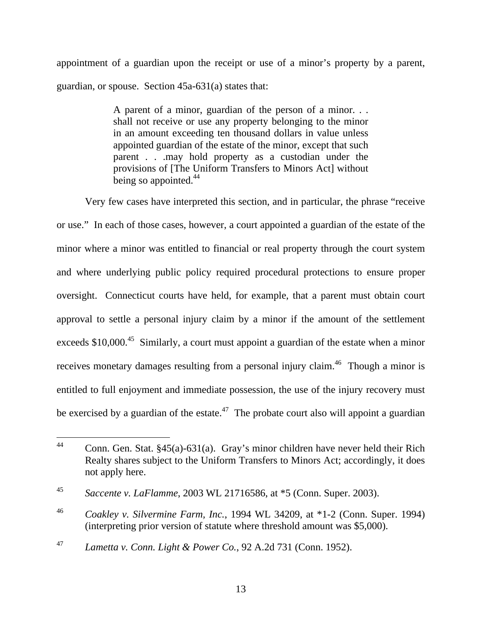appointment of a guardian upon the receipt or use of a minor's property by a parent, guardian, or spouse. Section 45a-631(a) states that:

> A parent of a minor, guardian of the person of a minor. . . shall not receive or use any property belonging to the minor in an amount exceeding ten thousand dollars in value unless appointed guardian of the estate of the minor, except that such parent . . .may hold property as a custodian under the provisions of [The Uniform Transfers to Minors Act] without being so appointed. $44$

Very few cases have interpreted this section, and in particular, the phrase "receive or use." In each of those cases, however, a court appointed a guardian of the estate of the minor where a minor was entitled to financial or real property through the court system and where underlying public policy required procedural protections to ensure proper oversight. Connecticut courts have held, for example, that a parent must obtain court approval to settle a personal injury claim by a minor if the amount of the settlement exceeds  $$10,000$ <sup>45</sup> Similarly, a court must appoint a guardian of the estate when a minor receives monetary damages resulting from a personal injury claim.<sup>46</sup> Though a minor is entitled to full enjoyment and immediate possession, the use of the injury recovery must be exercised by a guardian of the estate.<sup>47</sup> The probate court also will appoint a guardian

<sup>44</sup> Conn. Gen. Stat.  $§45(a)-631(a)$ . Gray's minor children have never held their Rich Realty shares subject to the Uniform Transfers to Minors Act; accordingly, it does not apply here.

<sup>45</sup> *Saccente v. LaFlamme*, 2003 WL 21716586, at \*5 (Conn. Super. 2003).

<sup>46</sup> *Coakley v. Silvermine Farm, Inc.*, 1994 WL 34209, at \*1-2 (Conn. Super. 1994) (interpreting prior version of statute where threshold amount was \$5,000).

<sup>47</sup> *Lametta v. Conn. Light & Power Co.*, 92 A.2d 731 (Conn. 1952).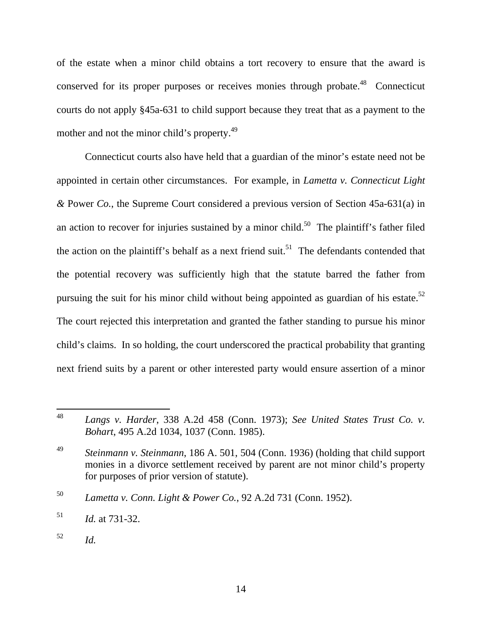of the estate when a minor child obtains a tort recovery to ensure that the award is conserved for its proper purposes or receives monies through probate.<sup>48</sup> Connecticut courts do not apply §45a-631 to child support because they treat that as a payment to the mother and not the minor child's property.<sup>49</sup>

Connecticut courts also have held that a guardian of the minor's estate need not be appointed in certain other circumstances. For example, in *Lametta v. Connecticut Light &* Power *Co.*, the Supreme Court considered a previous version of Section 45a-631(a) in an action to recover for injuries sustained by a minor child.<sup>50</sup> The plaintiff's father filed the action on the plaintiff's behalf as a next friend suit.<sup>51</sup> The defendants contended that the potential recovery was sufficiently high that the statute barred the father from pursuing the suit for his minor child without being appointed as guardian of his estate. $52$ The court rejected this interpretation and granted the father standing to pursue his minor child's claims. In so holding, the court underscored the practical probability that granting next friend suits by a parent or other interested party would ensure assertion of a minor

<sup>48</sup> 48 *Langs v. Harder*, 338 A.2d 458 (Conn. 1973); *See United States Trust Co. v. Bohart*, 495 A.2d 1034, 1037 (Conn. 1985).

<sup>49</sup> *Steinmann v. Steinmann*, 186 A. 501, 504 (Conn. 1936) (holding that child support monies in a divorce settlement received by parent are not minor child's property for purposes of prior version of statute).

<sup>50</sup> *Lametta v. Conn. Light & Power Co.*, 92 A.2d 731 (Conn. 1952).

<sup>51</sup> *Id.* at 731-32.

<sup>52</sup> *Id.*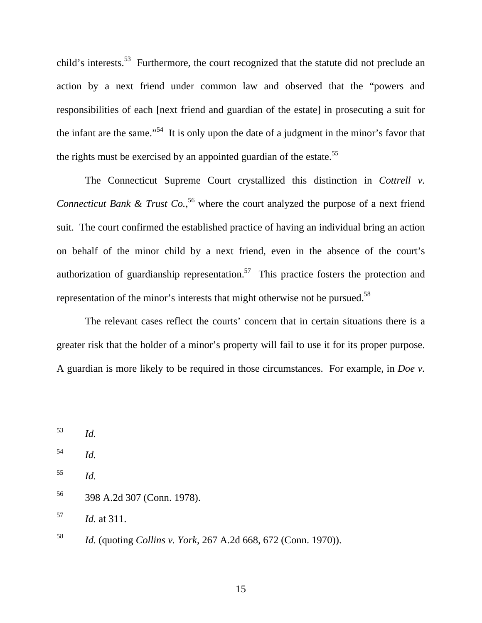child's interests.<sup>53</sup> Furthermore, the court recognized that the statute did not preclude an action by a next friend under common law and observed that the "powers and responsibilities of each [next friend and guardian of the estate] in prosecuting a suit for the infant are the same."<sup>54</sup> It is only upon the date of a judgment in the minor's favor that the rights must be exercised by an appointed guardian of the estate.<sup>55</sup>

The Connecticut Supreme Court crystallized this distinction in *Cottrell v. Connecticut Bank & Trust Co.*,<sup>56</sup> where the court analyzed the purpose of a next friend suit. The court confirmed the established practice of having an individual bring an action on behalf of the minor child by a next friend, even in the absence of the court's authorization of guardianship representation.<sup>57</sup> This practice fosters the protection and representation of the minor's interests that might otherwise not be pursued.58

The relevant cases reflect the courts' concern that in certain situations there is a greater risk that the holder of a minor's property will fail to use it for its proper purpose. A guardian is more likely to be required in those circumstances. For example, in *Doe v.* 

57 *Id.* at 311.

<sup>53</sup> 53 *Id.*

<sup>54</sup> *Id.*

<sup>55</sup> *Id.*

<sup>56 398</sup> A.2d 307 (Conn. 1978).

<sup>58</sup> *Id.* (quoting *Collins v. York*, 267 A.2d 668, 672 (Conn. 1970)).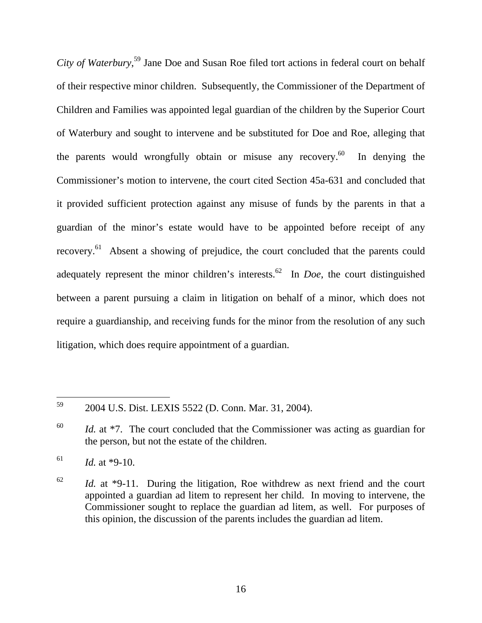*City of Waterbury*, 59 Jane Doe and Susan Roe filed tort actions in federal court on behalf of their respective minor children. Subsequently, the Commissioner of the Department of Children and Families was appointed legal guardian of the children by the Superior Court of Waterbury and sought to intervene and be substituted for Doe and Roe, alleging that the parents would wrongfully obtain or misuse any recovery.<sup>60</sup> In denying the Commissioner's motion to intervene, the court cited Section 45a-631 and concluded that it provided sufficient protection against any misuse of funds by the parents in that a guardian of the minor's estate would have to be appointed before receipt of any recovery.61 Absent a showing of prejudice, the court concluded that the parents could adequately represent the minor children's interests.<sup>62</sup> In *Doe*, the court distinguished between a parent pursuing a claim in litigation on behalf of a minor, which does not require a guardianship, and receiving funds for the minor from the resolution of any such litigation, which does require appointment of a guardian.

<sup>59</sup> 59 2004 U.S. Dist. LEXIS 5522 (D. Conn. Mar. 31, 2004).

<sup>60</sup> *Id.* at \*7. The court concluded that the Commissioner was acting as guardian for the person, but not the estate of the children.

 $16^{1}$  *Id.* at \*9-10.

<sup>62</sup> *Id.* at \*9-11. During the litigation, Roe withdrew as next friend and the court appointed a guardian ad litem to represent her child. In moving to intervene, the Commissioner sought to replace the guardian ad litem, as well. For purposes of this opinion, the discussion of the parents includes the guardian ad litem.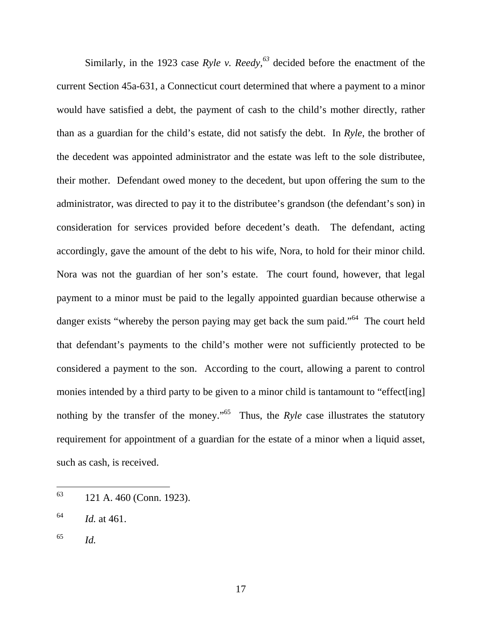Similarly, in the 1923 case  $Ryle$  v.  $Reedy$ ,  $^{63}$  decided before the enactment of the current Section 45a-631, a Connecticut court determined that where a payment to a minor would have satisfied a debt, the payment of cash to the child's mother directly, rather than as a guardian for the child's estate, did not satisfy the debt. In *Ryle*, the brother of the decedent was appointed administrator and the estate was left to the sole distributee, their mother. Defendant owed money to the decedent, but upon offering the sum to the administrator, was directed to pay it to the distributee's grandson (the defendant's son) in consideration for services provided before decedent's death. The defendant, acting accordingly, gave the amount of the debt to his wife, Nora, to hold for their minor child. Nora was not the guardian of her son's estate. The court found, however, that legal payment to a minor must be paid to the legally appointed guardian because otherwise a danger exists "whereby the person paying may get back the sum paid."<sup>64</sup> The court held that defendant's payments to the child's mother were not sufficiently protected to be considered a payment to the son. According to the court, allowing a parent to control monies intended by a third party to be given to a minor child is tantamount to "effect[ing] nothing by the transfer of the money."<sup>65</sup> Thus, the *Ryle* case illustrates the statutory requirement for appointment of a guardian for the estate of a minor when a liquid asset, such as cash, is received.

- 63 63 121 A. 460 (Conn. 1923).
- $^{64}$  *Id.* at 461.
- 65 *Id.*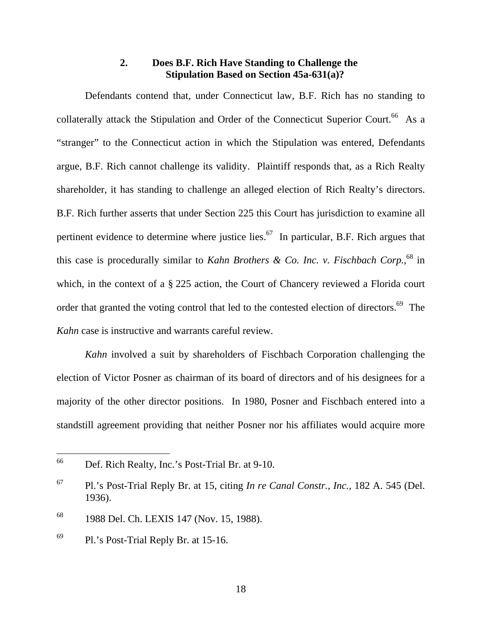# **2. Does B.F. Rich Have Standing to Challenge the Stipulation Based on Section 45a-631(a)?**

 Defendants contend that, under Connecticut law, B.F. Rich has no standing to collaterally attack the Stipulation and Order of the Connecticut Superior Court.<sup>66</sup> As a "stranger" to the Connecticut action in which the Stipulation was entered, Defendants argue, B.F. Rich cannot challenge its validity. Plaintiff responds that, as a Rich Realty shareholder, it has standing to challenge an alleged election of Rich Realty's directors. B.F. Rich further asserts that under Section 225 this Court has jurisdiction to examine all pertinent evidence to determine where justice lies.<sup>67</sup> In particular, B.F. Rich argues that this case is procedurally similar to *Kahn Brothers & Co. Inc. v. Fischbach Corp.*,<sup>68</sup> in which, in the context of a § 225 action, the Court of Chancery reviewed a Florida court order that granted the voting control that led to the contested election of directors.<sup>69</sup> The *Kahn* case is instructive and warrants careful review.

*Kahn* involved a suit by shareholders of Fischbach Corporation challenging the election of Victor Posner as chairman of its board of directors and of his designees for a majority of the other director positions. In 1980, Posner and Fischbach entered into a standstill agreement providing that neither Posner nor his affiliates would acquire more

 $\overline{a}$ 

<sup>66</sup> Def. Rich Realty, Inc.'s Post-Trial Br. at 9-10.

<sup>67</sup> Pl.'s Post-Trial Reply Br. at 15, citing *In re Canal Constr., Inc.*, 182 A. 545 (Del. 1936).

<sup>&</sup>lt;sup>68</sup> 1988 Del. Ch. LEXIS 147 (Nov. 15, 1988).

 $^{69}$  Pl.'s Post-Trial Reply Br. at 15-16.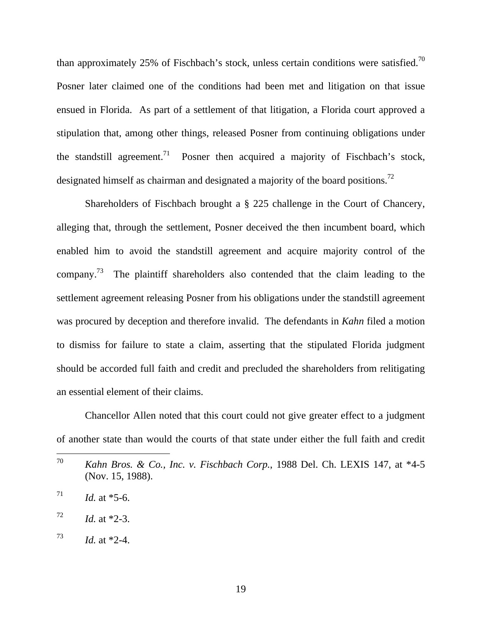than approximately 25% of Fischbach's stock, unless certain conditions were satisfied.<sup>70</sup> Posner later claimed one of the conditions had been met and litigation on that issue ensued in Florida. As part of a settlement of that litigation, a Florida court approved a stipulation that, among other things, released Posner from continuing obligations under the standstill agreement.<sup>71</sup> Posner then acquired a majority of Fischbach's stock, designated himself as chairman and designated a majority of the board positions.<sup>72</sup>

Shareholders of Fischbach brought a § 225 challenge in the Court of Chancery, alleging that, through the settlement, Posner deceived the then incumbent board, which enabled him to avoid the standstill agreement and acquire majority control of the company.73 The plaintiff shareholders also contended that the claim leading to the settlement agreement releasing Posner from his obligations under the standstill agreement was procured by deception and therefore invalid. The defendants in *Kahn* filed a motion to dismiss for failure to state a claim, asserting that the stipulated Florida judgment should be accorded full faith and credit and precluded the shareholders from relitigating an essential element of their claims.

Chancellor Allen noted that this court could not give greater effect to a judgment of another state than would the courts of that state under either the full faith and credit

<sup>70</sup> Kahn Bros. & Co., Inc. v. Fischbach Corp., 1988 Del. Ch. LEXIS 147, at \*4-5 (Nov. 15, 1988).

 $^{71}$  *Id.* at \*5-6.

 $1d.$  at  $*2-3$ .

 $^{73}$  *Id.* at \*2-4.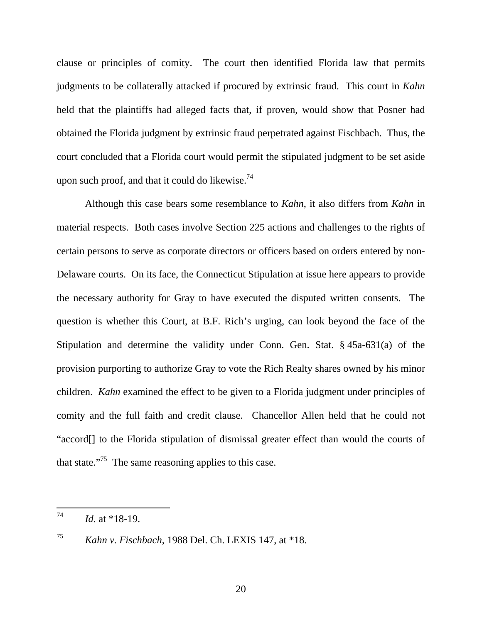clause or principles of comity. The court then identified Florida law that permits judgments to be collaterally attacked if procured by extrinsic fraud. This court in *Kahn* held that the plaintiffs had alleged facts that, if proven, would show that Posner had obtained the Florida judgment by extrinsic fraud perpetrated against Fischbach. Thus, the court concluded that a Florida court would permit the stipulated judgment to be set aside upon such proof, and that it could do likewise.<sup>74</sup>

Although this case bears some resemblance to *Kahn*, it also differs from *Kahn* in material respects. Both cases involve Section 225 actions and challenges to the rights of certain persons to serve as corporate directors or officers based on orders entered by non-Delaware courts. On its face, the Connecticut Stipulation at issue here appears to provide the necessary authority for Gray to have executed the disputed written consents. The question is whether this Court, at B.F. Rich's urging, can look beyond the face of the Stipulation and determine the validity under Conn. Gen. Stat. § 45a-631(a) of the provision purporting to authorize Gray to vote the Rich Realty shares owned by his minor children. *Kahn* examined the effect to be given to a Florida judgment under principles of comity and the full faith and credit clause. Chancellor Allen held that he could not "accord[] to the Florida stipulation of dismissal greater effect than would the courts of that state."<sup>75</sup> The same reasoning applies to this case.

<sup>74</sup> 74 *Id.* at \*18-19.

<sup>75</sup> *Kahn v. Fischbach*, 1988 Del. Ch. LEXIS 147, at \*18.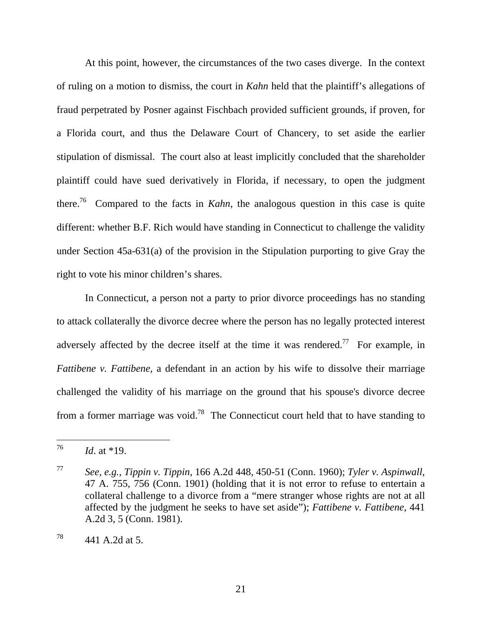At this point, however, the circumstances of the two cases diverge. In the context of ruling on a motion to dismiss, the court in *Kahn* held that the plaintiff's allegations of fraud perpetrated by Posner against Fischbach provided sufficient grounds, if proven, for a Florida court, and thus the Delaware Court of Chancery, to set aside the earlier stipulation of dismissal. The court also at least implicitly concluded that the shareholder plaintiff could have sued derivatively in Florida, if necessary, to open the judgment there.76 Compared to the facts in *Kahn,* the analogous question in this case is quite different: whether B.F. Rich would have standing in Connecticut to challenge the validity under Section 45a-631(a) of the provision in the Stipulation purporting to give Gray the right to vote his minor children's shares.

In Connecticut, a person not a party to prior divorce proceedings has no standing to attack collaterally the divorce decree where the person has no legally protected interest adversely affected by the decree itself at the time it was rendered.<sup>77</sup> For example, in *Fattibene v. Fattibene*, a defendant in an action by his wife to dissolve their marriage challenged the validity of his marriage on the ground that his spouse's divorce decree from a former marriage was void.<sup>78</sup> The Connecticut court held that to have standing to

<sup>76</sup> *Id.* at \*19.

<sup>77</sup> *See, e.g., Tippin v. Tippin*, 166 A.2d 448, 450-51 (Conn. 1960); *Tyler v. Aspinwall*, 47 A. 755, 756 (Conn. 1901) (holding that it is not error to refuse to entertain a collateral challenge to a divorce from a "mere stranger whose rights are not at all affected by the judgment he seeks to have set aside"); *Fattibene v. Fattibene*, 441 A.2d 3, 5 (Conn. 1981).

 $^{78}$  441 A.2d at 5.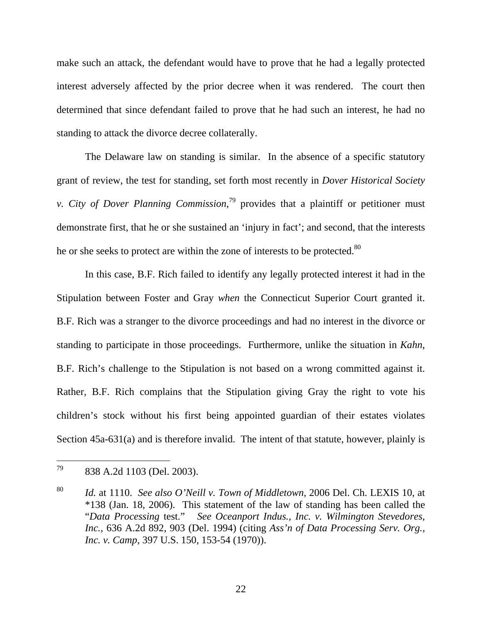make such an attack, the defendant would have to prove that he had a legally protected interest adversely affected by the prior decree when it was rendered. The court then determined that since defendant failed to prove that he had such an interest, he had no standing to attack the divorce decree collaterally.

The Delaware law on standing is similar. In the absence of a specific statutory grant of review, the test for standing, set forth most recently in *Dover Historical Society v. City of Dover Planning Commission*, 79 provides that a plaintiff or petitioner must demonstrate first, that he or she sustained an 'injury in fact'; and second, that the interests he or she seeks to protect are within the zone of interests to be protected.<sup>80</sup>

In this case, B.F. Rich failed to identify any legally protected interest it had in the Stipulation between Foster and Gray *when* the Connecticut Superior Court granted it. B.F. Rich was a stranger to the divorce proceedings and had no interest in the divorce or standing to participate in those proceedings. Furthermore, unlike the situation in *Kahn*, B.F. Rich's challenge to the Stipulation is not based on a wrong committed against it. Rather, B.F. Rich complains that the Stipulation giving Gray the right to vote his children's stock without his first being appointed guardian of their estates violates Section 45a-631(a) and is therefore invalid. The intent of that statute, however, plainly is

<sup>79</sup> 838 A.2d 1103 (Del. 2003).

<sup>80</sup> *Id.* at 1110. *See also O'Neill v. Town of Middletown*, 2006 Del. Ch. LEXIS 10, at \*138 (Jan. 18, 2006). This statement of the law of standing has been called the "*Data Processing* test." *See Oceanport Indus., Inc. v. Wilmington Stevedores, Inc.*, 636 A.2d 892, 903 (Del. 1994) (citing *Ass'n of Data Processing Serv. Org., Inc. v. Camp*, 397 U.S. 150, 153-54 (1970)).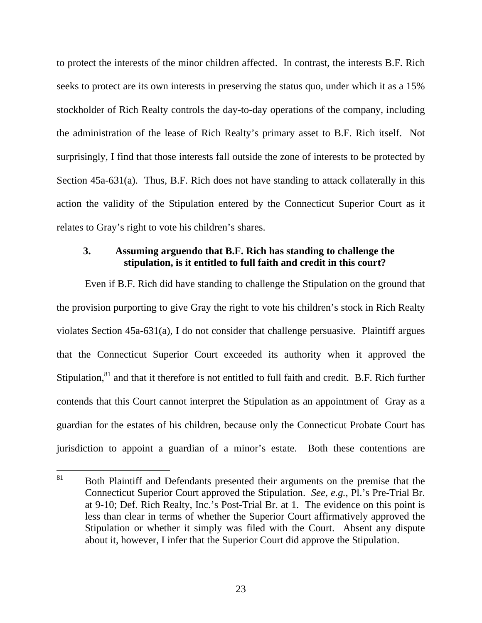to protect the interests of the minor children affected. In contrast, the interests B.F. Rich seeks to protect are its own interests in preserving the status quo, under which it as a 15% stockholder of Rich Realty controls the day-to-day operations of the company, including the administration of the lease of Rich Realty's primary asset to B.F. Rich itself. Not surprisingly, I find that those interests fall outside the zone of interests to be protected by Section 45a-631(a). Thus, B.F. Rich does not have standing to attack collaterally in this action the validity of the Stipulation entered by the Connecticut Superior Court as it relates to Gray's right to vote his children's shares.

## **3. Assuming arguendo that B.F. Rich has standing to challenge the stipulation, is it entitled to full faith and credit in this court?**

Even if B.F. Rich did have standing to challenge the Stipulation on the ground that the provision purporting to give Gray the right to vote his children's stock in Rich Realty violates Section 45a-631(a), I do not consider that challenge persuasive. Plaintiff argues that the Connecticut Superior Court exceeded its authority when it approved the Stipulation,<sup>81</sup> and that it therefore is not entitled to full faith and credit. B.F. Rich further contends that this Court cannot interpret the Stipulation as an appointment of Gray as a guardian for the estates of his children, because only the Connecticut Probate Court has jurisdiction to appoint a guardian of a minor's estate. Both these contentions are

<sup>81</sup> Both Plaintiff and Defendants presented their arguments on the premise that the Connecticut Superior Court approved the Stipulation. *See, e.g.*, Pl.'s Pre-Trial Br. at 9-10; Def. Rich Realty, Inc.'s Post-Trial Br. at 1. The evidence on this point is less than clear in terms of whether the Superior Court affirmatively approved the Stipulation or whether it simply was filed with the Court. Absent any dispute about it, however, I infer that the Superior Court did approve the Stipulation.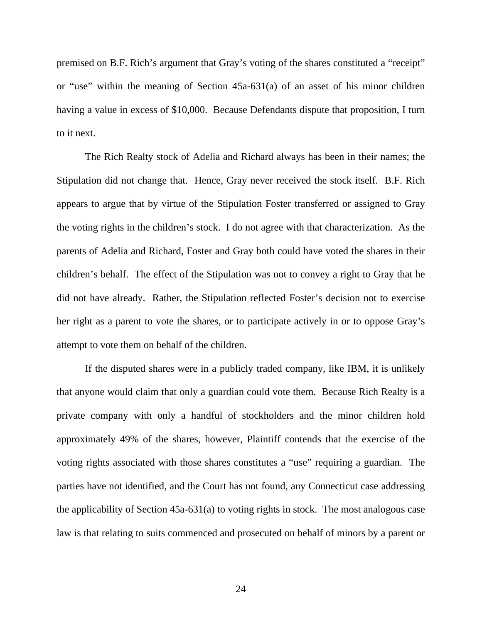premised on B.F. Rich's argument that Gray's voting of the shares constituted a "receipt" or "use" within the meaning of Section 45a-631(a) of an asset of his minor children having a value in excess of \$10,000. Because Defendants dispute that proposition, I turn to it next.

The Rich Realty stock of Adelia and Richard always has been in their names; the Stipulation did not change that. Hence, Gray never received the stock itself. B.F. Rich appears to argue that by virtue of the Stipulation Foster transferred or assigned to Gray the voting rights in the children's stock. I do not agree with that characterization. As the parents of Adelia and Richard, Foster and Gray both could have voted the shares in their children's behalf. The effect of the Stipulation was not to convey a right to Gray that he did not have already. Rather, the Stipulation reflected Foster's decision not to exercise her right as a parent to vote the shares, or to participate actively in or to oppose Gray's attempt to vote them on behalf of the children.

If the disputed shares were in a publicly traded company, like IBM, it is unlikely that anyone would claim that only a guardian could vote them. Because Rich Realty is a private company with only a handful of stockholders and the minor children hold approximately 49% of the shares, however, Plaintiff contends that the exercise of the voting rights associated with those shares constitutes a "use" requiring a guardian. The parties have not identified, and the Court has not found, any Connecticut case addressing the applicability of Section 45a-631(a) to voting rights in stock. The most analogous case law is that relating to suits commenced and prosecuted on behalf of minors by a parent or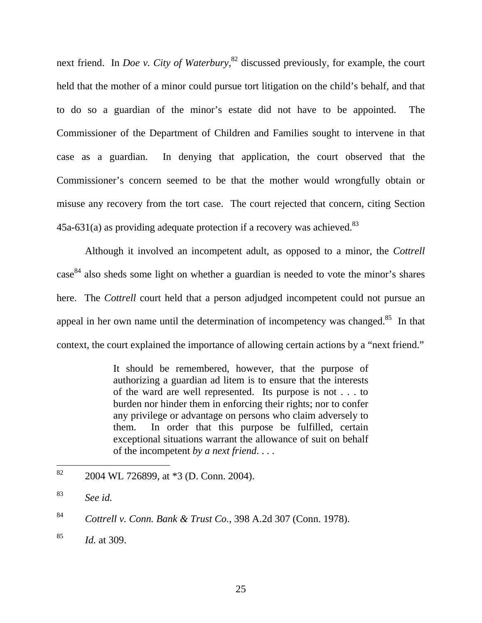next friend. In *Doe v. City of Waterbury*, <sup>82</sup> discussed previously, for example, the court held that the mother of a minor could pursue tort litigation on the child's behalf, and that to do so a guardian of the minor's estate did not have to be appointed. The Commissioner of the Department of Children and Families sought to intervene in that case as a guardian. In denying that application, the court observed that the Commissioner's concern seemed to be that the mother would wrongfully obtain or misuse any recovery from the tort case. The court rejected that concern, citing Section  $45a-631(a)$  as providing adequate protection if a recovery was achieved.<sup>83</sup>

Although it involved an incompetent adult, as opposed to a minor, the *Cottrell* case<sup>84</sup> also sheds some light on whether a guardian is needed to vote the minor's shares here. The *Cottrell* court held that a person adjudged incompetent could not pursue an appeal in her own name until the determination of incompetency was changed.<sup>85</sup> In that context, the court explained the importance of allowing certain actions by a "next friend."

> It should be remembered, however, that the purpose of authorizing a guardian ad litem is to ensure that the interests of the ward are well represented. Its purpose is not . . . to burden nor hinder them in enforcing their rights; nor to confer any privilege or advantage on persons who claim adversely to them. In order that this purpose be fulfilled, certain exceptional situations warrant the allowance of suit on behalf of the incompetent *by a next friend*. . . .

<sup>82</sup> 2004 WL 726899, at \*3 (D. Conn. 2004).

<sup>83</sup> *See id.*

<sup>84</sup> *Cottrell v. Conn. Bank & Trust Co.*, 398 A.2d 307 (Conn. 1978).

<sup>85</sup> *Id.* at 309.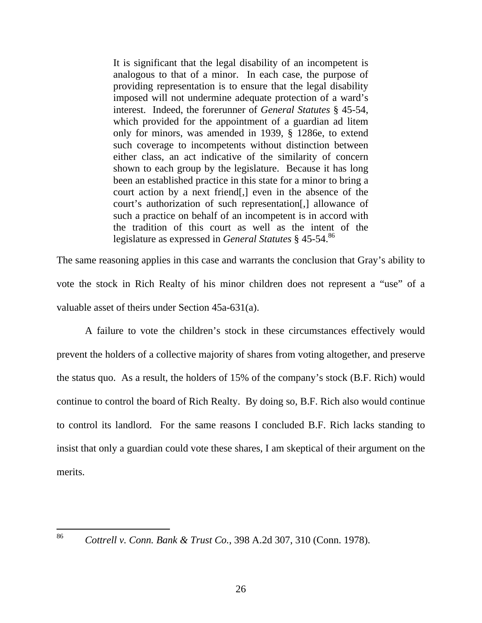It is significant that the legal disability of an incompetent is analogous to that of a minor. In each case, the purpose of providing representation is to ensure that the legal disability imposed will not undermine adequate protection of a ward's interest. Indeed, the forerunner of *General Statutes* § 45-54, which provided for the appointment of a guardian ad litem only for minors, was amended in 1939, § 1286e, to extend such coverage to incompetents without distinction between either class, an act indicative of the similarity of concern shown to each group by the legislature. Because it has long been an established practice in this state for a minor to bring a court action by a next friend[,] even in the absence of the court's authorization of such representation[,] allowance of such a practice on behalf of an incompetent is in accord with the tradition of this court as well as the intent of the legislature as expressed in *General Statutes* § 45-54.86

The same reasoning applies in this case and warrants the conclusion that Gray's ability to vote the stock in Rich Realty of his minor children does not represent a "use" of a valuable asset of theirs under Section 45a-631(a).

A failure to vote the children's stock in these circumstances effectively would prevent the holders of a collective majority of shares from voting altogether, and preserve the status quo. As a result, the holders of 15% of the company's stock (B.F. Rich) would continue to control the board of Rich Realty. By doing so, B.F. Rich also would continue to control its landlord. For the same reasons I concluded B.F. Rich lacks standing to insist that only a guardian could vote these shares, I am skeptical of their argument on the merits.

86

<sup>86</sup> *Cottrell v. Conn. Bank & Trust Co.*, 398 A.2d 307, 310 (Conn. 1978).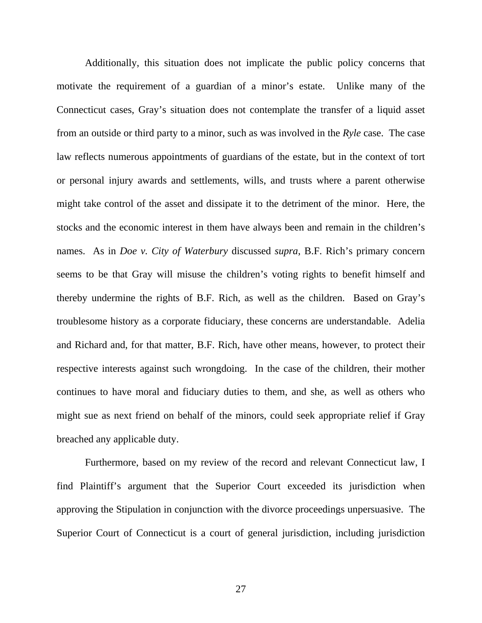Additionally, this situation does not implicate the public policy concerns that motivate the requirement of a guardian of a minor's estate. Unlike many of the Connecticut cases, Gray's situation does not contemplate the transfer of a liquid asset from an outside or third party to a minor, such as was involved in the *Ryle* case. The case law reflects numerous appointments of guardians of the estate, but in the context of tort or personal injury awards and settlements, wills, and trusts where a parent otherwise might take control of the asset and dissipate it to the detriment of the minor. Here, the stocks and the economic interest in them have always been and remain in the children's names. As in *Doe v. City of Waterbury* discussed *supra*, B.F. Rich's primary concern seems to be that Gray will misuse the children's voting rights to benefit himself and thereby undermine the rights of B.F. Rich, as well as the children. Based on Gray's troublesome history as a corporate fiduciary, these concerns are understandable. Adelia and Richard and, for that matter, B.F. Rich, have other means, however, to protect their respective interests against such wrongdoing. In the case of the children, their mother continues to have moral and fiduciary duties to them, and she, as well as others who might sue as next friend on behalf of the minors, could seek appropriate relief if Gray breached any applicable duty.

Furthermore, based on my review of the record and relevant Connecticut law, I find Plaintiff's argument that the Superior Court exceeded its jurisdiction when approving the Stipulation in conjunction with the divorce proceedings unpersuasive. The Superior Court of Connecticut is a court of general jurisdiction, including jurisdiction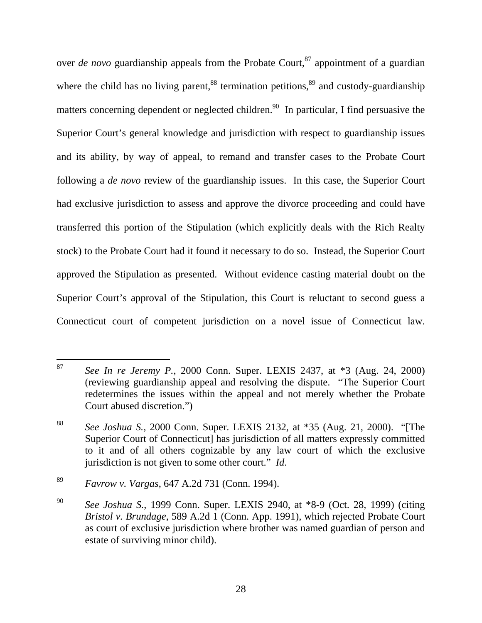over *de novo* guardianship appeals from the Probate Court,<sup>87</sup> appointment of a guardian where the child has no living parent,  $88$  termination petitions,  $89$  and custody-guardianship matters concerning dependent or neglected children.<sup>90</sup> In particular, I find persuasive the Superior Court's general knowledge and jurisdiction with respect to guardianship issues and its ability, by way of appeal, to remand and transfer cases to the Probate Court following a *de novo* review of the guardianship issues. In this case, the Superior Court had exclusive jurisdiction to assess and approve the divorce proceeding and could have transferred this portion of the Stipulation (which explicitly deals with the Rich Realty stock) to the Probate Court had it found it necessary to do so. Instead, the Superior Court approved the Stipulation as presented. Without evidence casting material doubt on the Superior Court's approval of the Stipulation, this Court is reluctant to second guess a Connecticut court of competent jurisdiction on a novel issue of Connecticut law.

 $87\,$ 87 *See In re Jeremy P.*, 2000 Conn. Super. LEXIS 2437, at \*3 (Aug. 24, 2000) (reviewing guardianship appeal and resolving the dispute. "The Superior Court redetermines the issues within the appeal and not merely whether the Probate Court abused discretion.")

<sup>88</sup> *See Joshua S.*, 2000 Conn. Super. LEXIS 2132, at \*35 (Aug. 21, 2000). "[The Superior Court of Connecticut] has jurisdiction of all matters expressly committed to it and of all others cognizable by any law court of which the exclusive jurisdiction is not given to some other court." *Id*.

<sup>89</sup> *Favrow v. Vargas*, 647 A.2d 731 (Conn. 1994).

<sup>90</sup> *See Joshua S.*, 1999 Conn. Super. LEXIS 2940, at \*8-9 (Oct. 28, 1999) (citing *Bristol v. Brundage*, 589 A.2d 1 (Conn. App. 1991), which rejected Probate Court as court of exclusive jurisdiction where brother was named guardian of person and estate of surviving minor child).